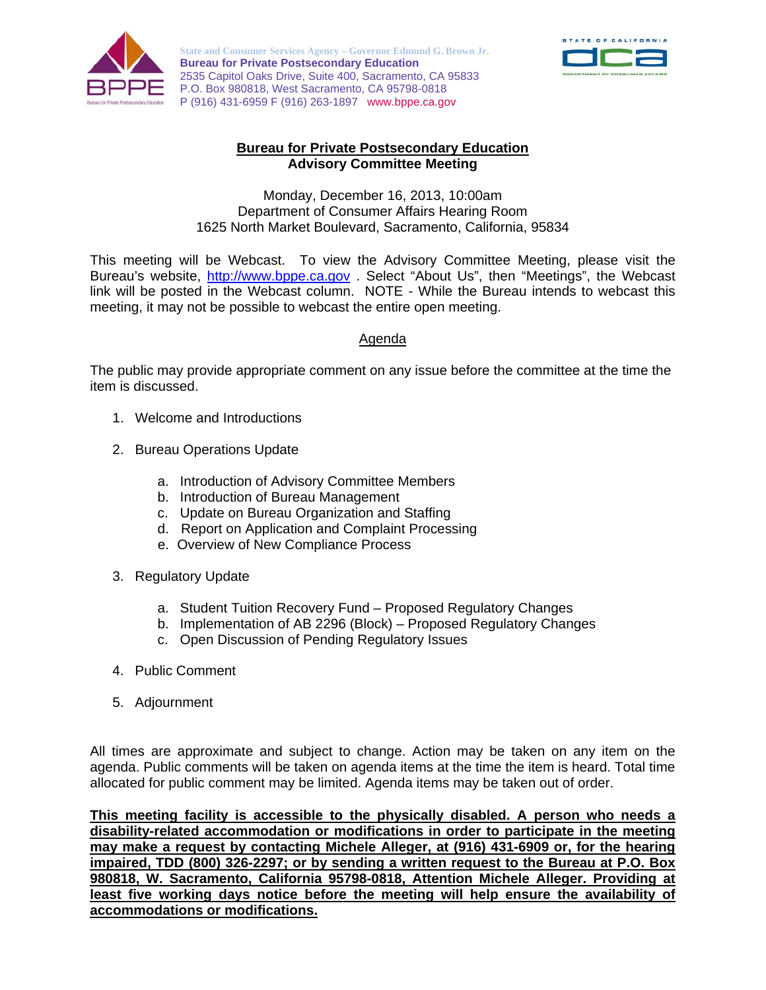

**State and Consumer Services Agency – Governor Edmund G. Brown Jr. Bureau for Private Postsecondary Education**  2535 Capitol Oaks Drive, Suite 400, Sacramento, CA 95833 P.O. Box 980818, West Sacramento, CA 95798-0818 P (916) 431-6959 F (916) 263-1897 www.bppe.ca.gov



## **Bureau for Private Postsecondary Education Advisory Committee Meeting**

Monday, December 16, 2013, 10:00am Department of Consumer Affairs Hearing Room 1625 North Market Boulevard, Sacramento, California, 95834

This meeting will be Webcast. To view the Advisory Committee Meeting, please visit the Bureau's website, http://www.bppe.ca.gov . Select "About Us", then "Meetings", the Webcast link will be posted in the Webcast column. NOTE - While the Bureau intends to webcast this meeting, it may not be possible to webcast the entire open meeting.

## Agenda

The public may provide appropriate comment on any issue before the committee at the time the item is discussed.

- 1. Welcome and Introductions
- 2. Bureau Operations Update
	- a. Introduction of Advisory Committee Members
	- b. Introduction of Bureau Management
	- c. Update on Bureau Organization and Staffing
	- d. Report on Application and Complaint Processing
	- e. Overview of New Compliance Process
- 3. Regulatory Update
	- a. Student Tuition Recovery Fund Proposed Regulatory Changes
	- b. Implementation of AB 2296 (Block) Proposed Regulatory Changes
	- c. Open Discussion of Pending Regulatory Issues
- 4. Public Comment
- 5. Adjournment

All times are approximate and subject to change. Action may be taken on any item on the agenda. Public comments will be taken on agenda items at the time the item is heard. Total time allocated for public comment may be limited. Agenda items may be taken out of order.

**This meeting facility is accessible to the physically disabled. A person who needs a disability-related accommodation or modifications in order to participate in the meeting may make a request by contacting Michele Alleger, at (916) 431-6909 or, for the hearing impaired, TDD (800) 326-2297; or by sending a written request to the Bureau at P.O. Box 980818, W. Sacramento, California 95798-0818, Attention Michele Alleger. Providing at least five working days notice before the meeting will help ensure the availability of accommodations or modifications.**